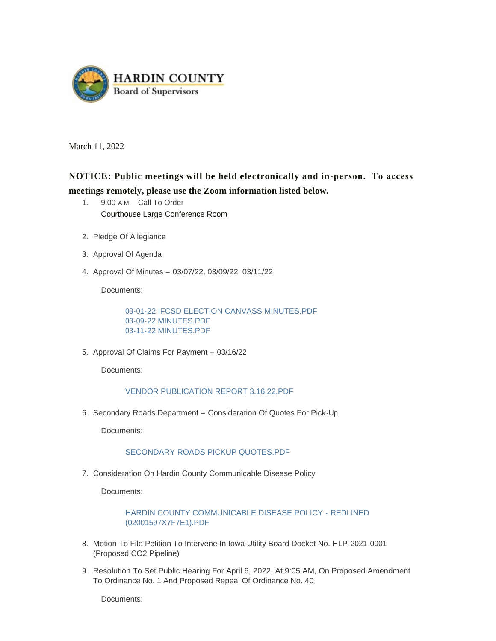

March 11, 2022

# **NOTICE: Public meetings will be held electronically and in-person. To access meetings remotely, please use the Zoom information listed below.**

- 1. 9:00 A.M. Call To Order Courthouse Large Conference Room
- 2. Pledge Of Allegiance
- 3. Approval Of Agenda
- 4. Approval Of Minutes 03/07/22, 03/09/22, 03/11/22

Documents:

[03-01-22 IFCSD ELECTION CANVASS MINUTES.PDF](https://www.hardincountyia.gov/AgendaCenter/ViewFile/Item/8572?fileID=6953) [03-09-22 MINUTES.PDF](https://www.hardincountyia.gov/AgendaCenter/ViewFile/Item/8572?fileID=6954) [03-11-22 MINUTES.PDF](https://www.hardincountyia.gov/AgendaCenter/ViewFile/Item/8572?fileID=6955)

5. Approval Of Claims For Payment - 03/16/22

Documents:

#### [VENDOR PUBLICATION REPORT 3.16.22.PDF](https://www.hardincountyia.gov/AgendaCenter/ViewFile/Item/8573?fileID=6947)

6. Secondary Roads Department - Consideration Of Quotes For Pick-Up

Documents:

### [SECONDARY ROADS PICKUP QUOTES.PDF](https://www.hardincountyia.gov/AgendaCenter/ViewFile/Item/8574?fileID=6948)

7. Consideration On Hardin County Communicable Disease Policy

Documents:

[HARDIN COUNTY COMMUNICABLE DISEASE POLICY -](https://www.hardincountyia.gov/AgendaCenter/ViewFile/Item/8575?fileID=6949) REDLINED (02001597X7F7E1).PDF

- 8. Motion To File Petition To Intervene In Iowa Utility Board Docket No. HLP-2021-0001 (Proposed CO2 Pipeline)
- 9. Resolution To Set Public Hearing For April 6, 2022, At 9:05 AM, On Proposed Amendment To Ordinance No. 1 And Proposed Repeal Of Ordinance No. 40

Documents: